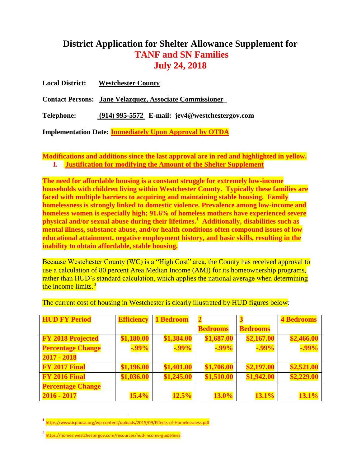# **District Application for Shelter Allowance Supplement for TANF and SN Families July 24, 2018**

| <b>Local District:</b> | <b>Westchester County</b>                                      |
|------------------------|----------------------------------------------------------------|
|                        | <b>Contact Persons:</b> Jane Velazquez, Associate Commissioner |
| <b>Telephone:</b>      | $(914)$ 995-5572 E-mail: jev4@westchestergov.com               |
|                        | <b>Implementation Date: Immediately Upon Approval by OTDA</b>  |

**Modifications and additions since the last approval are in red and highlighted in yellow. I. Justification for modifying the Amount of the Shelter Supplement**

**The need for affordable housing is a constant struggle for extremely low-income households with children living within Westchester County. Typically these families are faced with multiple barriers to acquiring and maintaining stable housing. Family homelessness is strongly linked to domestic violence. Prevalence among low-income and homeless women is especially high; 91.6% of homeless mothers have experienced severe physical and/or sexual abuse during their lifetimes.<sup>1</sup> Additionally, disabilities such as mental illness, substance abuse, and/or health conditions often compound issues of low educational attainment, negative employment history, and basic skills, resulting in the inability to obtain affordable, stable housing.**

Because Westchester County (WC) is a "High Cost" area, the County has received approval to use a calculation of 80 percent Area Median Income (AMI) for its homeownership programs, rather than HUD's standard calculation, which applies the national average when determining the income limits.<sup>2</sup>

| <b>HUD FY Period</b>     | <b>Efficiency</b> | 1 Bedroom  |                 |                 | <b>4 Bedrooms</b> |
|--------------------------|-------------------|------------|-----------------|-----------------|-------------------|
|                          |                   |            | <b>Bedrooms</b> | <b>Bedrooms</b> |                   |
| <b>FY 2018 Projected</b> | \$1,180.00        | \$1,384.00 | \$1,687.00      | \$2,167.00      | \$2,466.00        |
| <b>Percentage Change</b> | $-0.99\%$         | $-0.99\%$  | $-0.99\%$       | $-0.99\%$       | $-0.99\%$         |
| $2017 - 2018$            |                   |            |                 |                 |                   |
| FY 2017 Final            | \$1,196.00        | \$1,401.00 | \$1,706.00      | \$2,197.00      | \$2,521.00        |
| FY 2016 Final            | \$1,036.00        | \$1,245.00 | \$1,510.00      | \$1,942.00      | \$2,229.00        |
| <b>Percentage Change</b> |                   |            |                 |                 |                   |
| $2016 - 2017$            | 15.4%             | 12.5%      | 13.0%           | 13.1%           | 13.1%             |

The current cost of housing in Westchester is clearly illustrated by HUD figures below:

 $\overline{a}$ 

**<sup>1</sup>** <https://www.icphusa.org/wp-content/uploads/2015/09/Effects-of-Homelessness.pdf>

<sup>&</sup>lt;sup>2</sup> https://homes.westchestergov.com/resources/hud-income-guidelines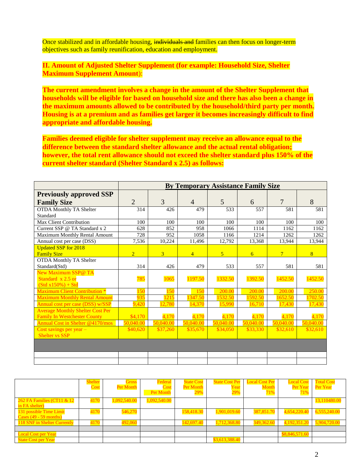Once stabilized and in affordable housing, individuals and families can then focus on longer-term objectives such as family reunification, education and employment.

**II. Amount of Adjusted Shelter Supplement (for example: Household Size, Shelter Maximum Supplement Amount**):

**The current amendment involves a change in the amount of the Shelter Supplement that households will be eligible for based on household size and there has also been a change in the maximum amounts allowed to be contributed by the household/third party per month. Housing is at a premium and as families get larger it becomes increasingly difficult to find appropriate and affordable housing.** 

**Families deemed eligible for shelter supplement may receive an allowance equal to the difference between the standard shelter allowance and the actual rental obligation; however, the total rent allowance should not exceed the shelter standard plus 150% of the current shelter standard (Shelter Standard x 2.5) as follows:**

|                                         |                |           |                | <b>By Temporary Assistance Family Size</b> |           |                |           |
|-----------------------------------------|----------------|-----------|----------------|--------------------------------------------|-----------|----------------|-----------|
| <b>Previously approved SSP</b>          |                |           |                |                                            |           |                |           |
| <b>Family Size</b>                      | $\overline{2}$ | 3         | $\overline{4}$ | 5                                          | 6         | 7              | 8         |
| <b>OTDA Monthly TA Shelter</b>          | 314            | 426       | 479            | 533                                        | 557       | 581            | 581       |
| Standard                                |                |           |                |                                            |           |                |           |
| Max Client Contribution                 | 100            | 100       | 100            | 100                                        | 100       | 100            | 100       |
| Current SSP @ TA Standard x 2           | 628            | 852       | 958            | 1066                                       | 1114      | 1162           | 1162      |
| Maximum Monthly Rental Amount           | 728            | 952       | 1058           | 1166                                       | 1214      | 1262           | 1262      |
| Annual cost per case (DSS)              | 7,536          | 10,224    | 11,496         | 12,792                                     | 13,368    | 13,944         | 13,944    |
| <b>Updated SSP for 2018</b>             |                |           |                |                                            |           |                |           |
| <b>Family Size</b>                      | $\overline{2}$ | 3         | $\overline{4}$ | $\overline{5}$                             | 6         | 7 <sup>1</sup> | 8         |
| <b>OTDA Monthly TA Shelter</b>          |                |           |                |                                            |           |                |           |
| Standard(Std)                           | 314            | 426       | 479            | 533                                        | 557       | 581            | 581       |
| New Maximum SSP@ TA                     |                |           |                |                                            |           |                |           |
| Standard x 2.5 or                       | 785            | 1065      | 1197.50        | 1332.50                                    | 1392.50   | 1452.50        | 1452.50   |
| $(Std x150%) + Std$                     |                |           |                |                                            |           |                |           |
| <b>Maximum Client Contribution *</b>    | 150            | 150       | 150            | 200.00                                     | 200.00    | 200.00         | 250.00    |
| <b>Maximum Monthly Rental Amount</b>    | 935            | 1215      | 1347.50        | 1532.50                                    | 1592.50   | 1652.50        | 1702.50   |
| Annual cost per case (DSS) w/SSP        | 9,420          | 12,780    | 14,370         | 15,990                                     | 16,710    | 17,430         | 17,430    |
| <b>Average Monthly Shelter Cost Per</b> |                |           |                |                                            |           |                |           |
| <b>Family In Westchester County</b>     | \$4,170        | 4,170     | 4,170          | 4,170                                      | 4,170     | 4,170          | 4,170     |
| Annual Cost in Shelter @4170/mos        | 50,040.00      | 50,040.00 | 50,040.00      | 50,040.00                                  | 50,040.00 | 50,040.00      | 50,040.00 |
| Cost savings per year -                 | \$40,620       | \$37,260  | \$35,670       | \$34,050                                   | \$33,330  | \$32,610       | \$32,610  |
| <b>Shelter vs SSP</b>                   |                |           |                |                                            |           |                |           |
|                                         |                |           |                |                                            |           |                |           |
|                                         |                |           |                |                                            |           |                |           |
|                                         |                |           |                |                                            |           |                |           |

|                                                     | <b>Shelter</b><br>Cost | <b>Gross</b><br>Per Month | Federal<br>Cost<br>Per Month | <b>State Cost</b><br>Per Month<br><b>29%</b> | <b>State Cost Per</b><br>Year<br><b>29%</b> | <b>Local Cost Per</b><br><b>Month</b><br>71% | <b>Local Cost</b><br>Per Year<br>71% | <b>Total Cost</b><br>Per Year |
|-----------------------------------------------------|------------------------|---------------------------|------------------------------|----------------------------------------------|---------------------------------------------|----------------------------------------------|--------------------------------------|-------------------------------|
| 262 FA Families (CT11 & 12<br>in FA shelter)        | 4170                   | 1,092,540.00              | 1,092,540.00                 |                                              |                                             |                                              |                                      | 13,110480.00                  |
| 131 possible Time Limit<br>Cases $(49 - 59$ months) | 4170                   | 546,270                   |                              | 158,418.30                                   | 1,901,019.60                                | 387,851.70                                   | 4,654,220.40                         | 6,555,240.00                  |
| 118 SNF in Shelter Currently                        | 4170                   | 492,060                   |                              | 142,697.40                                   | 1,712,368.80                                | 349,362.60                                   | 4,192,351.20                         | 5,904,720.00                  |
| <b>Local Cost per Year</b>                          |                        |                           |                              |                                              |                                             |                                              | \$8,846,571.60                       |                               |
| <b>State Cost per Year</b>                          |                        |                           |                              |                                              | \$3,613,388.40                              |                                              |                                      |                               |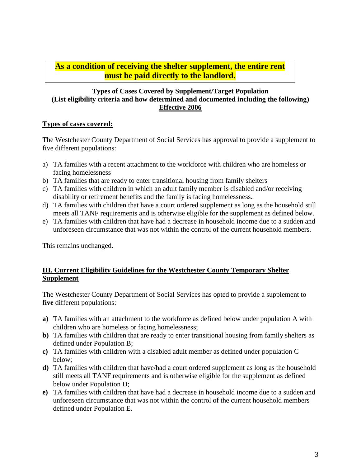# **As a condition of receiving the shelter supplement, the entire rent must be paid directly to the landlord.**

#### **Types of Cases Covered by Supplement/Target Population (List eligibility criteria and how determined and documented including the following) Effective 2006**

#### **Types of cases covered:**

The Westchester County Department of Social Services has approval to provide a supplement to five different populations:

- a) TA families with a recent attachment to the workforce with children who are homeless or facing homelessness
- b) TA families that are ready to enter transitional housing from family shelters
- c) TA families with children in which an adult family member is disabled and/or receiving disability or retirement benefits and the family is facing homelessness.
- d) TA families with children that have a court ordered supplement as long as the household still meets all TANF requirements and is otherwise eligible for the supplement as defined below.
- e) TA families with children that have had a decrease in household income due to a sudden and unforeseen circumstance that was not within the control of the current household members.

This remains unchanged.

### **III. Current Eligibility Guidelines for the Westchester County Temporary Shelter Supplement**

The Westchester County Department of Social Services has opted to provide a supplement to **five** different populations:

- **a)** TA families with an attachment to the workforce as defined below under population A with children who are homeless or facing homelessness;
- **b)** TA families with children that are ready to enter transitional housing from family shelters as defined under Population B;
- **c)** TA families with children with a disabled adult member as defined under population C below;
- **d)** TA families with children that have/had a court ordered supplement as long as the household still meets all TANF requirements and is otherwise eligible for the supplement as defined below under Population D;
- **e)** TA families with children that have had a decrease in household income due to a sudden and unforeseen circumstance that was not within the control of the current household members defined under Population E.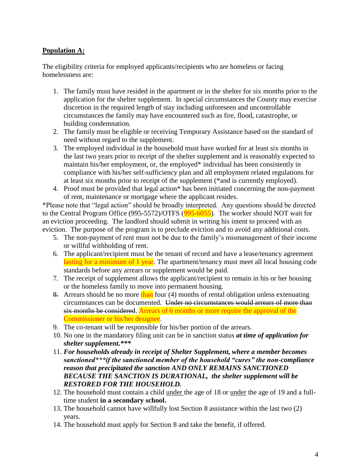### **Population A:**

The eligibility criteria for employed applicants/recipients who are homeless or facing homelessness are:

- 1. The family must have resided in the apartment or in the shelter for six months prior to the application for the shelter supplement. In special circumstances the County may exercise discretion in the required length of stay including unforeseen and uncontrollable circumstances the family may have encountered such as fire, flood, catastrophe, or building condemnation.
- 2. The family must be eligible or receiving Temporary Assistance based on the standard of need without regard to the supplement.
- 3. The employed individual in the household must have worked for at least six months in the last two years prior to receipt of the shelter supplement and is reasonably expected to maintain his/her employment, or, the employed\* individual has been consistently in compliance with his/her self-sufficiency plan and all employment related regulations for at least six months prior to receipt of the supplement (\*and is currently employed).
- 4. Proof must be provided that legal action\* has been initiated concerning the non-payment of rent, maintenance or mortgage where the applicant resides.

\*Please note that "legal action" should be broadly interpreted. Any questions should be directed to the Central Program Office (995-5572)/OTFS (995-6055). The worker should NOT wait for an eviction proceeding. The landlord should submit in writing his intent to proceed with an eviction. The purpose of the program is to preclude eviction and to avoid any additional costs.

- 5. The non-payment of rent must not be due to the family's mismanagement of their income or willful withholding of rent.
- 6. The applicant/recipient must be the tenant of record and have a lease/tenancy agreement lasting for a minimum of 1 year. The apartment/tenancy must meet all local housing code standards before any arrears or supplement would be paid.
- 7. The receipt of supplement allows the applicant/recipient to remain in his or her housing or the homeless family to move into permanent housing.
- 8. Arrears should be no more than four (4) months of rental obligation unless extenuating circumstances can be documented. Under no circumstances would arrears of more than six months be considered. Arrears of 6 months or more require the approval of the Commissioner or his/her designee.
- 9. The co-tenant will be responsible for his/her portion of the arrears.
- 10. No one in the mandatory filing unit can be in sanction status *at time of application for shelter supplement.\*\*\**
- 11. *For households already in receipt of Shelter Supplement, where a member becomes sanctioned\*\*\*if the sanctioned member of the household "cures" the non-compliance reason that precipitated the sanction AND ONLY REMAINS SANCTIONED BECAUSE THE SANCTION IS DURATIONAL, the shelter supplement will be RESTORED FOR THE HOUSEHOLD.*
- 12. The household must contain a child under the age of 18 or under the age of 19 and a fulltime student **in a secondary school.**
- 13. The household cannot have willfully lost Section 8 assistance within the last two (2) years.
- 14. The household must apply for Section 8 and take the benefit, if offered.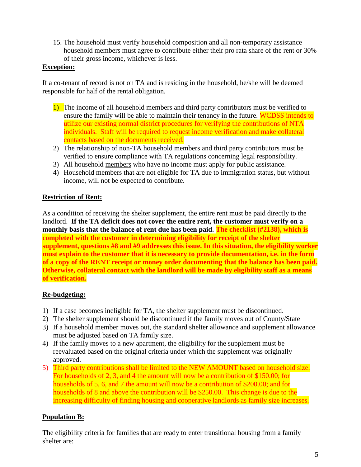15. The household must verify household composition and all non-temporary assistance household members must agree to contribute either their pro rata share of the rent or 30% of their gross income, whichever is less.

#### **Exception:**

If a co-tenant of record is not on TA and is residing in the household, he/she will be deemed responsible for half of the rental obligation.

- 1) The income of all household members and third party contributors must be verified to ensure the family will be able to maintain their tenancy in the future. WCDSS intends to utilize our existing normal district procedures for verifying the contributions of NTA individuals. Staff will be required to request income verification and make collateral contacts based on the documents received.
- 2) The relationship of non-TA household members and third party contributors must be verified to ensure compliance with TA regulations concerning legal responsibility.
- 3) All household members who have no income must apply for public assistance.
- 4) Household members that are not eligible for TA due to immigration status, but without income, will not be expected to contribute.

#### **Restriction of Rent:**

As a condition of receiving the shelter supplement, the entire rent must be paid directly to the landlord. **If the TA deficit does not cover the entire rent, the customer must verify on a monthly basis that the balance of rent due has been paid. The checklist (#2138), which is completed with the customer in determining eligibility for receipt of the shelter supplement, questions #8 and #9 addresses this issue. In this situation, the eligibility worker must explain to the customer that it is necessary to provide documentation, i.e. in the form of a copy of the RENT receipt or money order documenting that the balance has been paid. Otherwise, collateral contact with the landlord will be made by eligibility staff as a means of verification.**

### **Re-budgeting:**

- 1) If a case becomes ineligible for TA, the shelter supplement must be discontinued.
- 2) The shelter supplement should be discontinued if the family moves out of County/State
- 3) If a household member moves out, the standard shelter allowance and supplement allowance must be adjusted based on TA family size.
- 4) If the family moves to a new apartment, the eligibility for the supplement must be reevaluated based on the original criteria under which the supplement was originally approved.
- 5) Third party contributions shall be limited to the NEW AMOUNT based on household size. For households of 2, 3, and 4 the amount will now be a contribution of \$150.00; for households of 5, 6, and 7 the amount will now be a contribution of \$200.00; and for households of 8 and above the contribution will be \$250.00. This change is due to the increasing difficulty of finding housing and cooperative landlords as family size increases.

#### **Population B:**

The eligibility criteria for families that are ready to enter transitional housing from a family shelter are: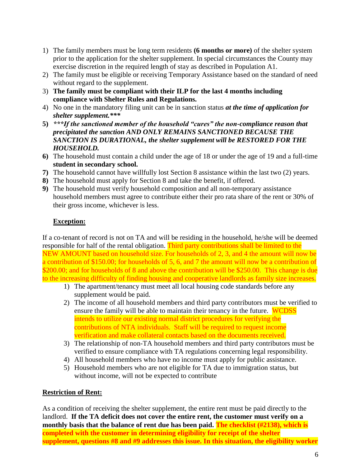- 1) The family members must be long term residents **(6 months or more)** of the shelter system prior to the application for the shelter supplement. In special circumstances the County may exercise discretion in the required length of stay as described in Population A1.
- 2) The family must be eligible or receiving Temporary Assistance based on the standard of need without regard to the supplement.
- 3) **The family must be compliant with their ILP for the last 4 months including compliance with Shelter Rules and Regulations.**
- 4) No one in the mandatory filing unit can be in sanction status *at the time of application for shelter supplement.\*\*\**
- **5)** *\*\*\*If the sanctioned member of the household "cures" the non-compliance reason that precipitated the sanction AND ONLY REMAINS SANCTIONED BECAUSE THE SANCTION IS DURATIONAL, the shelter supplement will be RESTORED FOR THE HOUSEHOLD.*
- **6)** The household must contain a child under the age of 18 or under the age of 19 and a full-time **student in secondary school.**
- **7)** The household cannot have willfully lost Section 8 assistance within the last two (2) years.
- **8)** The household must apply for Section 8 and take the benefit, if offered.
- **9)** The household must verify household composition and all non-temporary assistance household members must agree to contribute either their pro rata share of the rent or 30% of their gross income, whichever is less.

### **Exception:**

If a co-tenant of record is not on TA and will be residing in the household, he/she will be deemed responsible for half of the rental obligation. Third party contributions shall be limited to the NEW AMOUNT based on household size. For households of 2, 3, and 4 the amount will now be a contribution of \$150.00; for households of 5, 6, and 7 the amount will now be a contribution of \$200.00; and for households of 8 and above the contribution will be \$250.00. This change is due to the increasing difficulty of finding housing and cooperative landlords as family size increases.

- 1) The apartment/tenancy must meet all local housing code standards before any supplement would be paid.
- 2) The income of all household members and third party contributors must be verified to ensure the family will be able to maintain their tenancy in the future. WCDSS intends to utilize our existing normal district procedures for verifying the contributions of NTA individuals. Staff will be required to request income verification and make collateral contacts based on the documents received.
- 3) The relationship of non-TA household members and third party contributors must be verified to ensure compliance with TA regulations concerning legal responsibility.
- 4) All household members who have no income must apply for public assistance.
- 5) Household members who are not eligible for TA due to immigration status, but without income, will not be expected to contribute

### **Restriction of Rent:**

As a condition of receiving the shelter supplement, the entire rent must be paid directly to the landlord. **If the TA deficit does not cover the entire rent, the customer must verify on a monthly basis that the balance of rent due has been paid. The checklist (#2138), which is completed with the customer in determining eligibility for receipt of the shelter supplement, questions #8 and #9 addresses this issue. In this situation, the eligibility worker**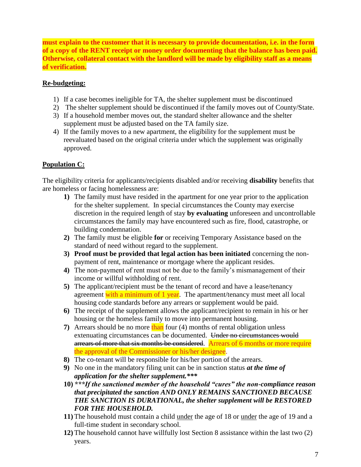**must explain to the customer that it is necessary to provide documentation, i.e. in the form of a copy of the RENT receipt or money order documenting that the balance has been paid. Otherwise, collateral contact with the landlord will be made by eligibility staff as a means of verification.**

### **Re-budgeting:**

- 1) If a case becomes ineligible for TA, the shelter supplement must be discontinued
- 2) The shelter supplement should be discontinued if the family moves out of County/State.
- 3) If a household member moves out, the standard shelter allowance and the shelter supplement must be adjusted based on the TA family size.
- 4) If the family moves to a new apartment, the eligibility for the supplement must be reevaluated based on the original criteria under which the supplement was originally approved.

# **Population C:**

The eligibility criteria for applicants/recipients disabled and/or receiving **disability** benefits that are homeless or facing homelessness are:

- **1)** The family must have resided in the apartment for one year prior to the application for the shelter supplement. In special circumstances the County may exercise discretion in the required length of stay **by evaluating** unforeseen and uncontrollable circumstances the family may have encountered such as fire, flood, catastrophe, or building condemnation.
- **2)** The family must be eligible **for** or receiving Temporary Assistance based on the standard of need without regard to the supplement.
- **3) Proof must be provided that legal action has been initiated** concerning the nonpayment of rent, maintenance or mortgage where the applicant resides.
- **4)** The non-payment of rent must not be due to the family's mismanagement of their income or willful withholding of rent.
- **5)** The applicant/recipient must be the tenant of record and have a lease/tenancy agreement with a minimum of 1 year. The apartment/tenancy must meet all local housing code standards before any arrears or supplement would be paid.
- **6)** The receipt of the supplement allows the applicant/recipient to remain in his or her housing or the homeless family to move into permanent housing.
- **7)** Arrears should be no more than four (4) months of rental obligation unless extenuating circumstances can be documented. Under no circumstances would arrears of more that six months be considered. Arrears of 6 months or more require the approval of the Commissioner or his/her designee.
- **8)** The co-tenant will be responsible for his/her portion of the arrears.
- **9)** No one in the mandatory filing unit can be in sanction status *at the time of application for the shelter supplement.\*\*\**
- **10)** *\*\*\*If the sanctioned member of the household "cures" the non-compliance reason that precipitated the sanction AND ONLY REMAINS SANCTIONED BECAUSE THE SANCTION IS DURATIONAL, the shelter supplement will be RESTORED FOR THE HOUSEHOLD.*
- **11)** The household must contain a child under the age of 18 or under the age of 19 and a full-time student in secondary school.
- **12)** The household cannot have willfully lost Section 8 assistance within the last two (2) years.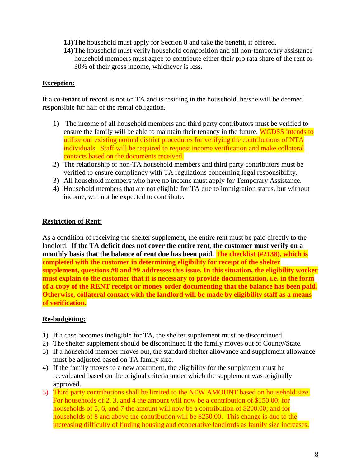- **13)** The household must apply for Section 8 and take the benefit, if offered.
- **14)** The household must verify household composition and all non-temporary assistance household members must agree to contribute either their pro rata share of the rent or 30% of their gross income, whichever is less.

#### **Exception:**

If a co-tenant of record is not on TA and is residing in the household, he/she will be deemed responsible for half of the rental obligation.

- 1) The income of all household members and third party contributors must be verified to ensure the family will be able to maintain their tenancy in the future. WCDSS intends to utilize our existing normal district procedures for verifying the contributions of NTA individuals. Staff will be required to request income verification and make collateral contacts based on the documents received.
- 2) The relationship of non-TA household members and third party contributors must be verified to ensure compliancy with TA regulations concerning legal responsibility.
- 3) All household members who have no income must apply for Temporary Assistance.
- 4) Household members that are not eligible for TA due to immigration status, but without income, will not be expected to contribute.

#### **Restriction of Rent:**

As a condition of receiving the shelter supplement, the entire rent must be paid directly to the landlord. **If the TA deficit does not cover the entire rent, the customer must verify on a monthly basis that the balance of rent due has been paid. The checklist (#2138), which is completed with the customer in determining eligibility for receipt of the shelter supplement, questions #8 and #9 addresses this issue. In this situation, the eligibility worker must explain to the customer that it is necessary to provide documentation, i.e. in the form of a copy of the RENT receipt or money order documenting that the balance has been paid. Otherwise, collateral contact with the landlord will be made by eligibility staff as a means of verification.**

#### **Re-budgeting:**

- 1) If a case becomes ineligible for TA, the shelter supplement must be discontinued
- 2) The shelter supplement should be discontinued if the family moves out of County/State.
- 3) If a household member moves out, the standard shelter allowance and supplement allowance must be adjusted based on TA family size.
- 4) If the family moves to a new apartment, the eligibility for the supplement must be reevaluated based on the original criteria under which the supplement was originally approved.
- 5) Third party contributions shall be limited to the NEW AMOUNT based on household size. For households of 2, 3, and 4 the amount will now be a contribution of \$150.00; for households of 5, 6, and 7 the amount will now be a contribution of \$200.00; and for households of 8 and above the contribution will be \$250.00. This change is due to the increasing difficulty of finding housing and cooperative landlords as family size increases.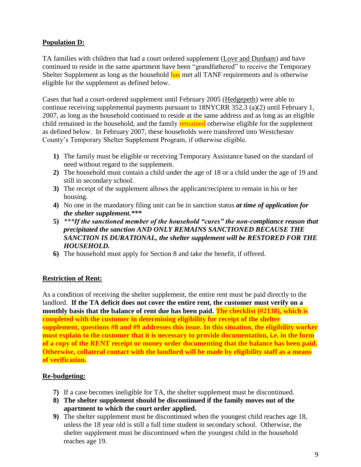# **Population D:**

TA families with children that had a court ordered supplement (Love and Dunham) and have continued to reside in the same apartment have been "grandfathered" to receive the Temporary Shelter Supplement as long as the household has met all TANF requirements and is otherwise eligible for the supplement as defined below.

Cases that had a court-ordered supplement until February 2005 (Hedgepeth) were able to continue receiving supplemental payments pursuant to 18NYCRR 352.3 (a)(2) until February 1, 2007, as long as the household continued to reside at the same address and as long as an eligible child remained in the household, and the family remained otherwise eligible for the supplement as defined below. In February 2007, these households were transferred into Westchester County's Temporary Shelter Supplement Program, if otherwise eligible.

- **1)** The family must be eligible or receiving Temporary Assistance based on the standard of need without regard to the supplement.
- **2)** The household must contain a child under the age of 18 or a child under the age of 19 and still in secondary school.
- **3)** The receipt of the supplement allows the applicant/recipient to remain in his or her housing.
- **4)** No one in the mandatory filing unit can be in sanction status *at time of application for the shelter supplement.\*\*\**
- **5)** *\*\*\*If the sanctioned member of the household "cures" the non-compliance reason that precipitated the sanction AND ONLY REMAINS SANCTIONED BECAUSE THE SANCTION IS DURATIONAL, the shelter supplement will be RESTORED FOR THE HOUSEHOLD.*
- **6)** The household must apply for Section 8 and take the benefit, if offered.

### **Restriction of Rent:**

As a condition of receiving the shelter supplement, the entire rent must be paid directly to the landlord. **If the TA deficit does not cover the entire rent, the customer must verify on a monthly basis that the balance of rent due has been paid. The checklist (#2138), which is completed with the customer in determining eligibility for receipt of the shelter supplement, questions #8 and #9 addresses this issue. In this situation, the eligibility worker must explain to the customer that it is necessary to provide documentation, i.e. in the form of a copy of the RENT receipt or money order documenting that the balance has been paid. Otherwise, collateral contact with the landlord will be made by eligibility staff as a means of verification.**

### **Re-budgeting:**

- **7)** If a case becomes ineligible for TA, the shelter supplement must be discontinued.
- **8) The shelter supplement should be discontinued if the family moves out of the apartment to which the court order applied.**
- **9)** The shelter supplement must be discontinued when the youngest child reaches age 18, unless the 18 year old is still a full time student in secondary school. Otherwise, the shelter supplement must be discontinued when the youngest child in the household reaches age 19.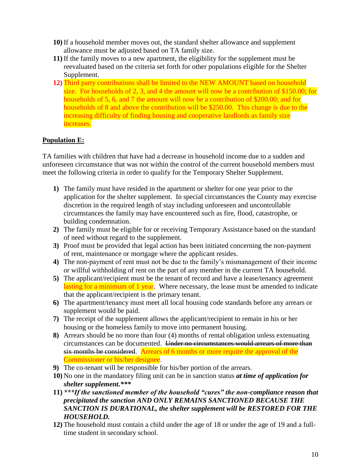- **10)** If a household member moves out, the standard shelter allowance and supplement allowance must be adjusted based on TA family size.
- **11)** If the family moves to a new apartment, the eligibility for the supplement must be reevaluated based on the criteria set forth for other populations eligible for the Shelter Supplement.
- **12)** Third party contributions shall be limited to the NEW AMOUNT based on household size. For households of 2, 3, and 4 the amount will now be a contribution of \$150.00; for households of 5, 6, and 7 the amount will now be a contribution of \$200.00; and for households of 8 and above the contribution will be \$250.00. This change is due to the increasing difficulty of finding housing and cooperative landlords as family size increases.

# **Population E:**

TA families with children that have had a decrease in household income due to a sudden and unforeseen circumstance that was not within the control of the current household members must meet the following criteria in order to qualify for the Temporary Shelter Supplement.

- **1)** The family must have resided in the apartment or shelter for one year prior to the application for the shelter supplement. In special circumstances the County may exercise discretion in the required length of stay including unforeseen and uncontrollable circumstances the family may have encountered such as fire, flood, catastrophe, or building condemnation.
- **2)** The family must be eligible for or receiving Temporary Assistance based on the standard of need without regard to the supplement.
- **3)** Proof must be provided that legal action has been initiated concerning the non-payment of rent, maintenance or mortgage where the applicant resides.
- **4)** The non-payment of rent must not be due to the family's mismanagement of their income or willful withholding of rent on the part of any member in the current TA household.
- **5)** The applicant/recipient must be the tenant of record and have a lease/tenancy agreement lasting for a minimum of 1 year. Where necessary, the lease must be amended to indicate that the applicant/recipient is the primary tenant.
- **6)** The apartment/tenancy must meet all local housing code standards before any arrears or supplement would be paid.
- **7)** The receipt of the supplement allows the applicant/recipient to remain in his or her housing or the homeless family to move into permanent housing.
- **8)** Arrears should be no more than four (4) months of rental obligation unless extenuating circumstances can be documented. Under no circumstances would arrears of more than six months be considered. Arrears of 6 months or more require the approval of the Commissioner or his/her designee.
- **9)** The co-tenant will be responsible for his/her portion of the arrears.
- **10)** No one in the mandatory filing unit can be in sanction status *at time of application for shelter supplement.\*\*\**
- **11)** *\*\*\*If the sanctioned member of the household "cures" the non-compliance reason that precipitated the sanction AND ONLY REMAINS SANCTIONED BECAUSE THE SANCTION IS DURATIONAL, the shelter supplement will be RESTORED FOR THE HOUSEHOLD.*
- **12)** The household must contain a child under the age of 18 or under the age of 19 and a fulltime student in secondary school.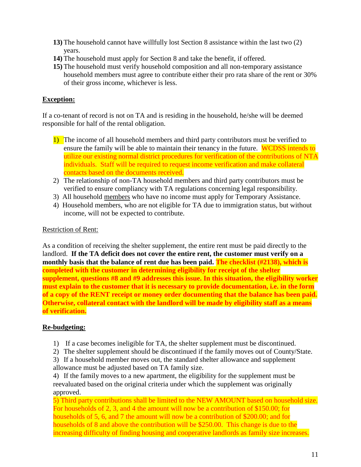- **13)** The household cannot have willfully lost Section 8 assistance within the last two (2) years.
- **14)** The household must apply for Section 8 and take the benefit, if offered.
- **15)** The household must verify household composition and all non-temporary assistance household members must agree to contribute either their pro rata share of the rent or 30% of their gross income, whichever is less.

# **Exception:**

If a co-tenant of record is not on TA and is residing in the household, he/she will be deemed responsible for half of the rental obligation.

- 1) The income of all household members and third party contributors must be verified to ensure the family will be able to maintain their tenancy in the future. WCDSS intends to utilize our existing normal district procedures for verification of the contributions of NTA individuals. Staff will be required to request income verification and make collateral contacts based on the documents received.
- 2) The relationship of non-TA household members and third party contributors must be verified to ensure compliancy with TA regulations concerning legal responsibility.
- 3) All household members who have no income must apply for Temporary Assistance.
- 4) Household members, who are not eligible for TA due to immigration status, but without income, will not be expected to contribute.

### Restriction of Rent:

As a condition of receiving the shelter supplement, the entire rent must be paid directly to the landlord. **If the TA deficit does not cover the entire rent, the customer must verify on a monthly basis that the balance of rent due has been paid. The checklist (#2138), which is completed with the customer in determining eligibility for receipt of the shelter supplement, questions #8 and #9 addresses this issue. In this situation, the eligibility worker must explain to the customer that it is necessary to provide documentation, i.e. in the form of a copy of the RENT receipt or money order documenting that the balance has been paid. Otherwise, collateral contact with the landlord will be made by eligibility staff as a means of verification.**

### **Re-budgeting:**

- 1) If a case becomes ineligible for TA, the shelter supplement must be discontinued.
- 2) The shelter supplement should be discontinued if the family moves out of County/State.

3) If a household member moves out, the standard shelter allowance and supplement allowance must be adjusted based on TA family size.

4) If the family moves to a new apartment, the eligibility for the supplement must be reevaluated based on the original criteria under which the supplement was originally approved.

5) Third party contributions shall be limited to the NEW AMOUNT based on household size. For households of 2, 3, and 4 the amount will now be a contribution of \$150.00; for households of 5, 6, and 7 the amount will now be a contribution of \$200.00; and for households of 8 and above the contribution will be \$250.00. This change is due to the increasing difficulty of finding housing and cooperative landlords as family size increases.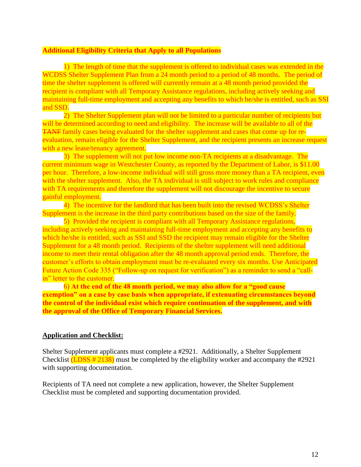#### **Additional Eligibility Criteria that Apply to all Populations**

1) The length of time that the supplement is offered to individual cases was extended in the WCDSS Shelter Supplement Plan from a 24 month period to a period of 48 months. The period of time the shelter supplement is offered will currently remain at a 48 month period provided the recipient is compliant with all Temporary Assistance regulations, including actively seeking and maintaining full-time employment and accepting any benefits to which he/she is entitled, such as SSI and SSD.

2) The Shelter Supplement plan will not be limited to a particular number of recipients but will be determined according to need and eligibility. The increase will be available to all of the TANF family cases being evaluated for the shelter supplement and cases that come up for reevaluation, remain eligible for the Shelter Supplement, and the recipient presents an increase request with a new lease/tenancy agreement.

3) The supplement will not put low income non-TA recipients at a disadvantage. The current minimum wage in Westchester County, as reported by the Department of Labor, is \$11.00 per hour. Therefore, a low-income individual will still gross more money than a TA recipient, even with the shelter supplement. Also, the TA individual is still subject to work rules and compliance with TA requirements and therefore the supplement will not discourage the incentive to secure gainful employment.

4) The incentive for the landlord that has been built into the revised WCDSS's Shelter Supplement is the increase in the third party contributions based on the size of the family.

5) Provided the recipient is compliant with all Temporary Assistance regulations, including actively seeking and maintaining full-time employment and accepting any benefits to which he/she is entitled, such as SSI and SSD the recipient may remain eligible for the Shelter Supplement for a 48 month period. Recipients of the shelter supplement will need additional income to meet their rental obligation after the 48 month approval period ends. Therefore, the customer's efforts to obtain employment must be re-evaluated every six months. Use Anticipated Future Action Code 335 ("Follow-up on request for verification") as a reminder to send a "callin" letter to the customer.

6) **At the end of the 48 month period, we may also allow for a "good cause exemption" on a case by case basis when appropriate, if extenuating circumstances beyond the control of the individual exist which require continuation of the supplement, and with the approval of the Office of Temporary Financial Services.** 

#### **Application and Checklist:**

Shelter Supplement applicants must complete a #2921. Additionally, a Shelter Supplement Checklist  $(LDSS # 2138)$  must be completed by the eligibility worker and accompany the #2921 with supporting documentation.

Recipients of TA need not complete a new application, however, the Shelter Supplement Checklist must be completed and supporting documentation provided.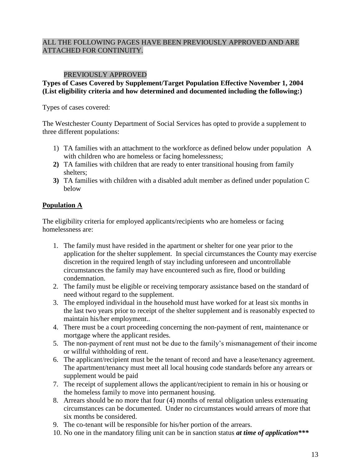### ALL THE FOLLOWING PAGES HAVE BEEN PREVIOUSLY APPROVED AND ARE ATTACHED FOR CONTINUITY.

### PREVIOUSLY APPROVED

#### **Types of Cases Covered by Supplement/Target Population Effective November 1, 2004 (List eligibility criteria and how determined and documented including the following:)**

Types of cases covered:

The Westchester County Department of Social Services has opted to provide a supplement to three different populations:

- 1) TA families with an attachment to the workforce as defined below under population A with children who are homeless or facing homelessness;
- **2)** TA families with children that are ready to enter transitional housing from family shelters;
- **3)** TA families with children with a disabled adult member as defined under population C below

### **Population A**

The eligibility criteria for employed applicants/recipients who are homeless or facing homelessness are:

- 1. The family must have resided in the apartment or shelter for one year prior to the application for the shelter supplement. In special circumstances the County may exercise discretion in the required length of stay including unforeseen and uncontrollable circumstances the family may have encountered such as fire, flood or building condemnation.
- 2. The family must be eligible or receiving temporary assistance based on the standard of need without regard to the supplement.
- 3. The employed individual in the household must have worked for at least six months in the last two years prior to receipt of the shelter supplement and is reasonably expected to maintain his/her employment..
- 4. There must be a court proceeding concerning the non-payment of rent, maintenance or mortgage where the applicant resides.
- 5. The non-payment of rent must not be due to the family's mismanagement of their income or willful withholding of rent.
- 6. The applicant/recipient must be the tenant of record and have a lease/tenancy agreement. The apartment/tenancy must meet all local housing code standards before any arrears or supplement would be paid
- 7. The receipt of supplement allows the applicant/recipient to remain in his or housing or the homeless family to move into permanent housing.
- 8. Arrears should be no more that four (4) months of rental obligation unless extenuating circumstances can be documented. Under no circumstances would arrears of more that six months be considered.
- 9. The co-tenant will be responsible for his/her portion of the arrears.
- 10. No one in the mandatory filing unit can be in sanction status *at time of application\*\*\**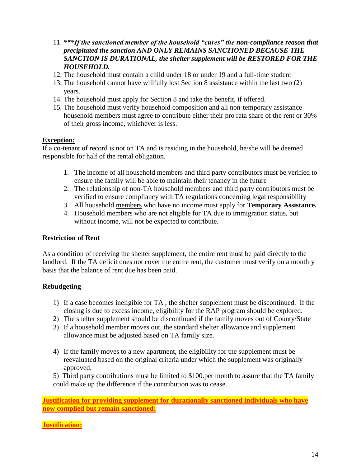- 11. *\*\*\*If the sanctioned member of the household "cures" the non-compliance reason that precipitated the sanction AND ONLY REMAINS SANCTIONED BECAUSE THE SANCTION IS DURATIONAL, the shelter supplement will be RESTORED FOR THE HOUSEHOLD.*
- 12. The household must contain a child under 18 or under 19 and a full-time student
- 13. The household cannot have willfully lost Section 8 assistance within the last two (2) years.
- 14. The household must apply for Section 8 and take the benefit, if offered.
- 15. The household must verify household composition and all non-temporary assistance household members must agree to contribute either their pro rata share of the rent or 30% of their gross income, whichever is less.

#### **Exception:**

If a co-tenant of record is not on TA and is residing in the household, he/she will be deemed responsible for half of the rental obligation.

- 1. The income of all household members and third party contributors must be verified to ensure the family will be able to maintain their tenancy in the future
- 2. The relationship of non-TA household members and third party contributors must be verified to ensure compliancy with TA regulations concerning legal responsibility
- 3. All household members who have no income must apply for **Temporary Assistance.**
- 4. Household members who are not eligible for TA due to immigration status, but without income, will not be expected to contribute.

#### **Restriction of Rent**

As a condition of receiving the shelter supplement, the entire rent must be paid directly to the landlord. If the TA deficit does not cover the entire rent, the customer must verify on a monthly basis that the balance of rent due has been paid.

### **Rebudgeting**

- 1) If a case becomes ineligible for TA , the shelter supplement must be discontinued. If the closing is due to excess income, eligibility for the RAP program should be explored.
- 2) The shelter supplement should be discontinued if the family moves out of County/State
- 3) If a household member moves out, the standard shelter allowance and supplement allowance must be adjusted based on TA family size.
- 4) If the family moves to a new apartment, the eligibility for the supplement must be reevaluated based on the original criteria under which the supplement was originally approved.

5) Third party contributions must be limited to \$100.per month to assure that the TA family could make up the difference if the contribution was to cease.

**Justification for providing supplement for durationally sanctioned individuals who have now complied but remain sanctioned:**

**Justification:**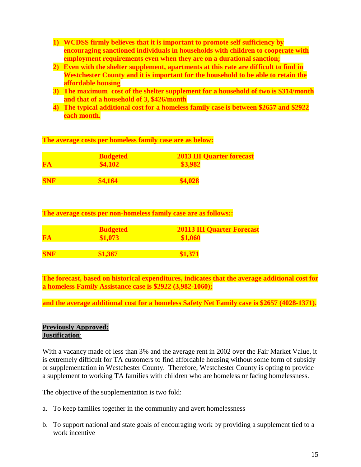- **1) WCDSS firmly believes that it is important to promote self sufficiency by encouraging sanctioned individuals in households with children to cooperate with employment requirements even when they are on a durational sanction;**
- **2) Even with the shelter supplement, apartments at this rate are difficult to find in Westchester County and it is important for the household to be able to retain the affordable housing**
- **3) The maximum cost of the shelter supplement for a household of two is \$314/month and that of a household of 3, \$426/month**
- **4) The typical additional cost for a homeless family case is between \$2657 and \$2922 each month.**

**The average costs per homeless family case are as below:**

| FA         | <b>Budgeted</b><br>\$4,102 | <b>2013 III Quarter forecast</b><br>\$3,982 |
|------------|----------------------------|---------------------------------------------|
| <b>SNF</b> | \$4,164                    | \$4,028                                     |

**The average costs per non-homeless family case are as follows::**

| FA         | <b>Budgeted</b><br>\$1,073 | <b>20113 III Quarter Forecast</b><br>\$1,060 |
|------------|----------------------------|----------------------------------------------|
| <b>SNF</b> | \$1,367                    | \$1,371                                      |

**The forecast, based on historical expenditures, indicates that the average additional cost for a homeless Family Assistance case is \$2922 (3,982-1060);**

**and the average additional cost for a homeless Safety Net Family case is \$2657 (4028-1371).**

### **Previously Approved: Justification**:

With a vacancy made of less than 3% and the average rent in 2002 over the Fair Market Value, it is extremely difficult for TA customers to find affordable housing without some form of subsidy or supplementation in Westchester County. Therefore, Westchester County is opting to provide a supplement to working TA families with children who are homeless or facing homelessness.

The objective of the supplementation is two fold:

- a. To keep families together in the community and avert homelessness
- b. To support national and state goals of encouraging work by providing a supplement tied to a work incentive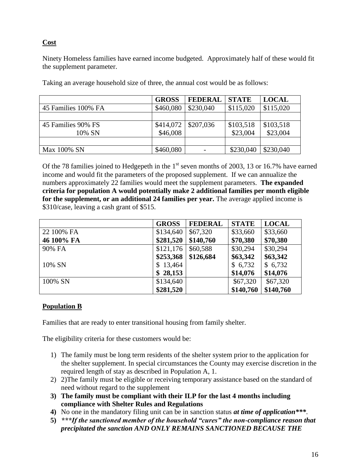## **Cost**

Ninety Homeless families have earned income budgeted. Approximately half of these would fit the supplement parameter.

|                     | <b>GROSS</b> | <b>FEDERAL</b> | <b>STATE</b> | <b>LOCAL</b> |
|---------------------|--------------|----------------|--------------|--------------|
| 45 Families 100% FA | \$460,080    | \$230,040      | \$115,020    | \$115,020    |
|                     |              |                |              |              |
| 45 Families 90% FS  | \$414,072    | \$207,036      | \$103,518    | \$103,518    |
| 10% SN              | \$46,008     |                | \$23,004     | \$23,004     |
|                     |              |                |              |              |
| Max 100% SN         | \$460,080    |                | \$230,040    | \$230,040    |

Taking an average household size of three, the annual cost would be as follows:

Of the 78 families joined to Hedgepeth in the  $1<sup>st</sup>$  seven months of 2003, 13 or 16.7% have earned income and would fit the parameters of the proposed supplement. If we can annualize the numbers approximately 22 families would meet the supplement parameters. **The expanded criteria for population A would potentially make 2 additional families per month eligible for the supplement, or an additional 24 families per year.** The average applied income is \$310/case, leaving a cash grant of \$515.

|            | <b>GROSS</b> | <b>FEDERAL</b> | <b>STATE</b> | <b>LOCAL</b> |
|------------|--------------|----------------|--------------|--------------|
| 22 100% FA | \$134,640    | \$67,320       | \$33,660     | \$33,660     |
| 46 100% FA | \$281,520    | \$140,760      | \$70,380     | \$70,380     |
| 90% FA     | \$121,176    | \$60,588       | \$30,294     | \$30,294     |
|            | \$253,368    | \$126,684      | \$63,342     | \$63,342     |
| 10% SN     | \$13,464     |                | \$6,732      | \$6,732      |
|            | \$28,153     |                | \$14,076     | \$14,076     |
| 100% SN    | \$134,640    |                | \$67,320     | \$67,320     |
|            | \$281,520    |                | \$140,760    | \$140,760    |

### **Population B**

Families that are ready to enter transitional housing from family shelter.

The eligibility criteria for these customers would be:

- 1) The family must be long term residents of the shelter system prior to the application for the shelter supplement. In special circumstances the County may exercise discretion in the required length of stay as described in Population A, 1.
- 2) 2)The family must be eligible or receiving temporary assistance based on the standard of need without regard to the supplement
- **3) The family must be compliant with their ILP for the last 4 months including compliance with Shelter Rules and Regulations**
- **4)** No one in the mandatory filing unit can be in sanction status *at time of application\*\*\**.
- **5)** *\*\*\*If the sanctioned member of the household "cures" the non-compliance reason that precipitated the sanction AND ONLY REMAINS SANCTIONED BECAUSE THE*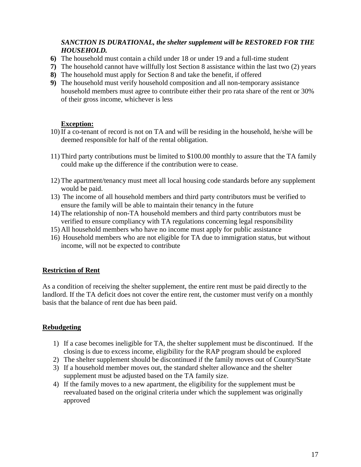### *SANCTION IS DURATIONAL, the shelter supplement will be RESTORED FOR THE HOUSEHOLD.*

- **6)** The household must contain a child under 18 or under 19 and a full-time student
- **7)** The household cannot have willfully lost Section 8 assistance within the last two (2) years
- **8)** The household must apply for Section 8 and take the benefit, if offered
- **9)** The household must verify household composition and all non-temporary assistance household members must agree to contribute either their pro rata share of the rent or 30% of their gross income, whichever is less

### **Exception:**

- 10) If a co-tenant of record is not on TA and will be residing in the household, he/she will be deemed responsible for half of the rental obligation.
- 11) Third party contributions must be limited to \$100.00 monthly to assure that the TA family could make up the difference if the contribution were to cease.
- 12) The apartment/tenancy must meet all local housing code standards before any supplement would be paid.
- 13) The income of all household members and third party contributors must be verified to ensure the family will be able to maintain their tenancy in the future
- 14) The relationship of non-TA household members and third party contributors must be verified to ensure compliancy with TA regulations concerning legal responsibility
- 15) All household members who have no income must apply for public assistance
- 16) Household members who are not eligible for TA due to immigration status, but without income, will not be expected to contribute

#### **Restriction of Rent**

As a condition of receiving the shelter supplement, the entire rent must be paid directly to the landlord. If the TA deficit does not cover the entire rent, the customer must verify on a monthly basis that the balance of rent due has been paid.

#### **Rebudgeting**

- 1) If a case becomes ineligible for TA, the shelter supplement must be discontinued. If the closing is due to excess income, eligibility for the RAP program should be explored
- 2) The shelter supplement should be discontinued if the family moves out of County/State
- 3) If a household member moves out, the standard shelter allowance and the shelter supplement must be adjusted based on the TA family size.
- 4) If the family moves to a new apartment, the eligibility for the supplement must be reevaluated based on the original criteria under which the supplement was originally approved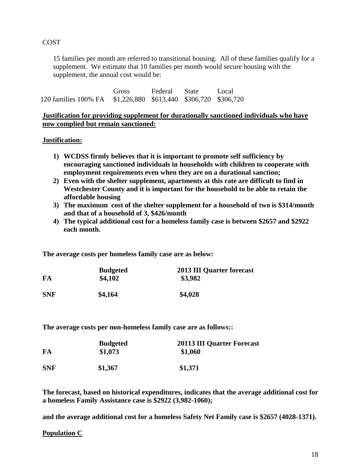#### **COST**

15 families per month are referred to transitional housing. All of these families qualify for a supplement. We estimate that 10 families per month would secure housing with the supplement, the annual cost would be:

Gross Federal State Local 120 families 100% FA \$1,226,880 \$613,440 \$306,720 \$306,720

**Justification for providing supplement for durationally sanctioned individuals who have now complied but remain sanctioned:**

#### **Justification:**

- **1) WCDSS firmly believes that it is important to promote self sufficiency by encouraging sanctioned individuals in households with children to cooperate with employment requirements even when they are on a durational sanction;**
- **2) Even with the shelter supplement, apartments at this rate are difficult to find in Westchester County and it is important for the household to be able to retain the affordable housing**
- **3) The maximum cost of the shelter supplement for a household of two is \$314/month and that of a household of 3, \$426/month**
- **4) The typical additional cost for a homeless family case is between \$2657 and \$2922 each month.**

**The average costs per homeless family case are as below:**

| FA         | <b>Budgeted</b><br>\$4,102 | <b>2013 III Quarter forecast</b><br>\$3,982 |
|------------|----------------------------|---------------------------------------------|
| <b>SNF</b> | \$4,164                    | \$4,028                                     |

**The average costs per non-homeless family case are as follows::**

|            | <b>Budgeted</b> | <b>20113 III Quarter Forecast</b> |
|------------|-----------------|-----------------------------------|
| FA         | \$1,073         | \$1,060                           |
| <b>SNF</b> | \$1,367         | \$1,371                           |

**The forecast, based on historical expenditures, indicates that the average additional cost for a homeless Family Assistance case is \$2922 (3,982-1060);**

**and the average additional cost for a homeless Safety Net Family case is \$2657 (4028-1371).**

#### **Population C**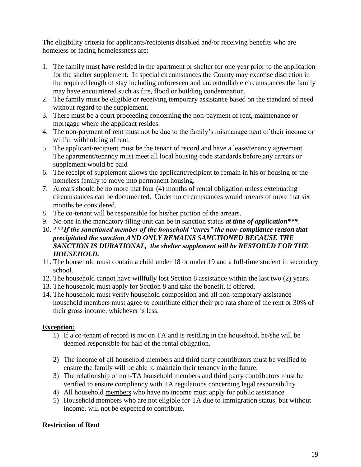The eligibility criteria for applicants/recipients disabled and/or receiving benefits who are homeless or facing homelessness are:

- 1. The family must have resided in the apartment or shelter for one year prior to the application for the shelter supplement. In special circumstances the County may exercise discretion in the required length of stay including unforeseen and uncontrollable circumstances the family may have encountered such as fire, flood or building condemnation.
- 2. The family must be eligible or receiving temporary assistance based on the standard of need without regard to the supplement.
- 3. There must be a court proceeding concerning the non-payment of rent, maintenance or mortgage where the applicant resides.
- 4. The non-payment of rent must not be due to the family's mismanagement of their income or willful withholding of rent.
- 5. The applicant/recipient must be the tenant of record and have a lease/tenancy agreement. The apartment/tenancy must meet all local housing code standards before any arrears or supplement would be paid
- 6. The receipt of supplement allows the applicant/recipient to remain in his or housing or the homeless family to move into permanent housing.
- 7. Arrears should be no more that four (4) months of rental obligation unless extenuating circumstances can be documented. Under no circumstances would arrears of more that six months be considered.
- 8. The co-tenant will be responsible for his/her portion of the arrears.
- 9. No one in the mandatory filing unit can be in sanction status *at time of application\*\*\**.
- 10. *\*\*\*If the sanctioned member of the household "cures" the non-compliance reason that precipitated the sanction AND ONLY REMAINS SANCTIONED BECAUSE THE SANCTION IS DURATIONAL, the shelter supplement will be RESTORED FOR THE HOUSEHOLD.*
- 11. The household must contain a child under 18 or under 19 and a full-time student in secondary school.
- 12. The household cannot have willfully lost Section 8 assistance within the last two (2) years.
- 13. The household must apply for Section 8 and take the benefit, if offered.
- 14. The household must verify household composition and all non-temporary assistance household members must agree to contribute either their pro rata share of the rent or 30% of their gross income, whichever is less.

### **Exception:**

- 1) If a co-tenant of record is not on TA and is residing in the household, he/she will be deemed responsible for half of the rental obligation.
- 2) The income of all household members and third party contributors must be verified to ensure the family will be able to maintain their tenancy in the future.
- 3) The relationship of non-TA household members and third party contributors must be verified to ensure compliancy with TA regulations concerning legal responsibility
- 4) All household members who have no income must apply for public assistance.
- 5) Household members who are not eligible for TA due to immigration status, but without income, will not be expected to contribute.

### **Restriction of Rent**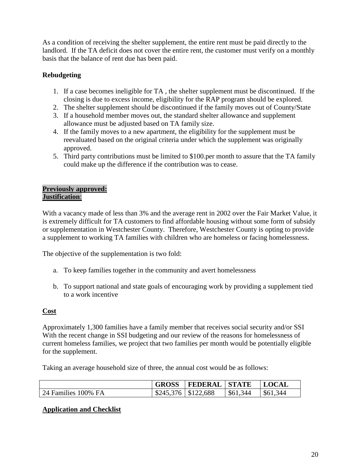As a condition of receiving the shelter supplement, the entire rent must be paid directly to the landlord. If the TA deficit does not cover the entire rent, the customer must verify on a monthly basis that the balance of rent due has been paid.

# **Rebudgeting**

- 1. If a case becomes ineligible for TA , the shelter supplement must be discontinued. If the closing is due to excess income, eligibility for the RAP program should be explored.
- 2. The shelter supplement should be discontinued if the family moves out of County/State
- 3. If a household member moves out, the standard shelter allowance and supplement allowance must be adjusted based on TA family size.
- 4. If the family moves to a new apartment, the eligibility for the supplement must be reevaluated based on the original criteria under which the supplement was originally approved.
- 5. Third party contributions must be limited to \$100.per month to assure that the TA family could make up the difference if the contribution was to cease.

#### **Previously approved: Justification**:

With a vacancy made of less than 3% and the average rent in 2002 over the Fair Market Value, it is extremely difficult for TA customers to find affordable housing without some form of subsidy or supplementation in Westchester County. Therefore, Westchester County is opting to provide a supplement to working TA families with children who are homeless or facing homelessness.

The objective of the supplementation is two fold:

- a. To keep families together in the community and avert homelessness
- b. To support national and state goals of encouraging work by providing a supplement tied to a work incentive

### **Cost**

Approximately 1,300 families have a family member that receives social security and/or SSI With the recent change in SSI budgeting and our review of the reasons for homelessness of current homeless families, we project that two families per month would be potentially eligible for the supplement.

Taking an average household size of three, the annual cost would be as follows:

|                     |                          | GROSS   FEDERAL   STATE |          | <b>LOCAL</b>       |
|---------------------|--------------------------|-------------------------|----------|--------------------|
| 24 Families 100% FA | $$245,376 \mid $122,688$ |                         | \$61,344 | $\frac{$61,344}{}$ |

#### **Application and Checklist**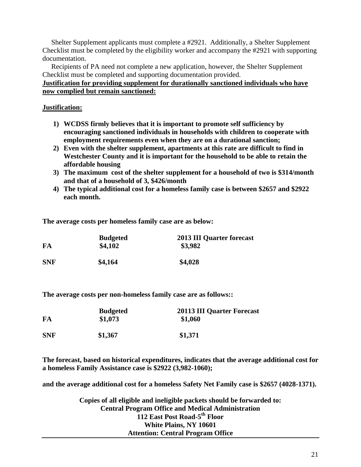Shelter Supplement applicants must complete a #2921. Additionally, a Shelter Supplement Checklist must be completed by the eligibility worker and accompany the #2921 with supporting documentation.

 Recipients of PA need not complete a new application, however, the Shelter Supplement Checklist must be completed and supporting documentation provided.

**Justification for providing supplement for durationally sanctioned individuals who have now complied but remain sanctioned:**

#### **Justification:**

- **1) WCDSS firmly believes that it is important to promote self sufficiency by encouraging sanctioned individuals in households with children to cooperate with employment requirements even when they are on a durational sanction;**
- **2) Even with the shelter supplement, apartments at this rate are difficult to find in Westchester County and it is important for the household to be able to retain the affordable housing**
- **3) The maximum cost of the shelter supplement for a household of two is \$314/month and that of a household of 3, \$426/month**
- **4) The typical additional cost for a homeless family case is between \$2657 and \$2922 each month.**

**The average costs per homeless family case are as below:**

| FA         | <b>Budgeted</b><br>\$4,102 | <b>2013 III Quarter forecast</b><br>\$3,982 |
|------------|----------------------------|---------------------------------------------|
| <b>SNF</b> | \$4,164                    | \$4,028                                     |

**The average costs per non-homeless family case are as follows::**

| FA         | <b>Budgeted</b><br>\$1,073 | <b>20113 III Quarter Forecast</b><br>\$1,060 |
|------------|----------------------------|----------------------------------------------|
| <b>SNF</b> | \$1,367                    | \$1,371                                      |

**The forecast, based on historical expenditures, indicates that the average additional cost for a homeless Family Assistance case is \$2922 (3,982-1060);**

**and the average additional cost for a homeless Safety Net Family case is \$2657 (4028-1371).**

**Copies of all eligible and ineligible packets should be forwarded to: Central Program Office and Medical Administration 112 East Post Road-5 th Floor White Plains, NY 10601 Attention: Central Program Office**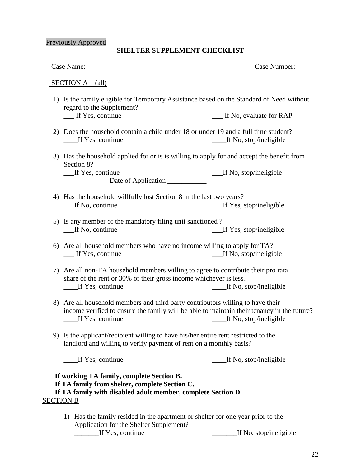#### Previously Approved

#### **SHELTER SUPPLEMENT CHECKLIST**

| Case Name: |
|------------|
|------------|

Case Number:

#### $SECTION A - (all)$

- 1) Is the family eligible for Temporary Assistance based on the Standard of Need without regard to the Supplement?<br>
If Yes, continue If No, evaluate for RAP
- 2) Does the household contain a child under 18 or under 19 and a full time student? \_\_\_\_If Yes, continue \_\_\_\_If No, stop/ineligible
- 3) Has the household applied for or is is willing to apply for and accept the benefit from Section 8?

\_\_\_If Yes, continue \_\_\_If No, stop/ineligible Date of Application \_\_\_\_\_\_\_\_\_\_\_

- 4) Has the household willfully lost Section 8 in the last two years? If No, continue If Yes, stop/ineligible
- 5) Is any member of the mandatory filing unit sanctioned ? \_\_\_If No, continue \_\_\_If Yes, stop/ineligible
- 6) Are all household members who have no income willing to apply for TA? \_\_\_ If Yes, continue \_\_\_If No, stop/ineligible
- 7) Are all non-TA household members willing to agree to contribute their pro rata share of the rent or 30% of their gross income whichever is less? If Yes, continue  $\qquad \qquad$  If No, stop/ineligible
- 8) Are all household members and third party contributors willing to have their income verified to ensure the family will be able to maintain their tenancy in the future? If Yes, continue  $\qquad \qquad$  If No, stop/ineligible
- 9) Is the applicant/recipient willing to have his/her entire rent restricted to the landlord and willing to verify payment of rent on a monthly basis?

\_\_\_\_If Yes, continue \_\_\_\_If No, stop/ineligible

### **If working TA family, complete Section B. If TA family from shelter, complete Section C. If TA family with disabled adult member, complete Section D.** SECTION B

1) Has the family resided in the apartment or shelter for one year prior to the Application for the Shelter Supplement? \_\_\_\_\_\_\_If Yes, continue \_\_\_\_\_\_\_If No, stop/ineligible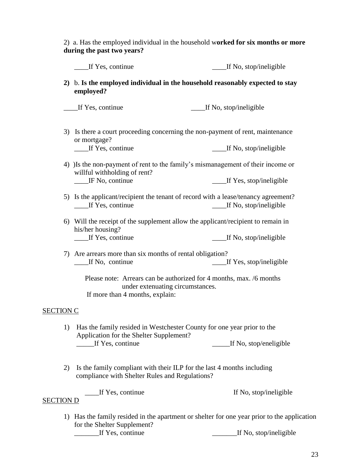2) a. Has the employed individual in the household w**orked for six months or more during the past two years?**

|                  | If Yes, continue                                                                                                                 | If No, stop/ineligible                                                                                   |  |
|------------------|----------------------------------------------------------------------------------------------------------------------------------|----------------------------------------------------------------------------------------------------------|--|
|                  | 2) b. Is the employed individual in the household reasonably expected to stay<br>employed?                                       |                                                                                                          |  |
|                  | If Yes, continue                                                                                                                 | If No, stop/ineligible                                                                                   |  |
|                  | or mortgage?<br>__If Yes, continue                                                                                               | 3) Is there a court proceeding concerning the non-payment of rent, maintenance<br>If No, stop/ineligible |  |
|                  | 4) Is the non-payment of rent to the family's mismanagement of their income or<br>willful withholding of rent?                   |                                                                                                          |  |
|                  | _IF No, continue                                                                                                                 | _____If Yes, stop/ineligible                                                                             |  |
|                  | 5) Is the applicant/recipient the tenant of record with a lease/tenancy agreement?<br>If No, stop/ineligible<br>If Yes, continue |                                                                                                          |  |
|                  | 6) Will the receipt of the supplement allow the applicant/recipient to remain in<br>his/her housing?                             |                                                                                                          |  |
|                  | If Yes, continue                                                                                                                 | If No, stop/ineligible                                                                                   |  |
|                  | 7) Are arrears more than six months of rental obligation?<br>If No, continue                                                     | If Yes, stop/ineligible                                                                                  |  |
|                  | If more than 4 months, explain:                                                                                                  | Please note: Arrears can be authorized for 4 months, max. /6 months<br>under extenuating circumstances.  |  |
|                  |                                                                                                                                  |                                                                                                          |  |
| <b>SECTION C</b> |                                                                                                                                  |                                                                                                          |  |
|                  | Application for the Shelter Supplement?                                                                                          | 1) Has the family resided in Westchester County for one year prior to the                                |  |
|                  | If Yes, continue                                                                                                                 | If No, stop/eneligible                                                                                   |  |
| 2)               | Is the family compliant with their ILP for the last 4 months including<br>compliance with Shelter Rules and Regulations?         |                                                                                                          |  |
| <b>SECTION D</b> | If Yes, continue                                                                                                                 | If No, stop/ineligible                                                                                   |  |
|                  |                                                                                                                                  | 1) Has the family resided in the apartment or shelter for one year prior to the application              |  |

for the Shelter Supplement? Let Yes, continue Let No, stop/ineligible